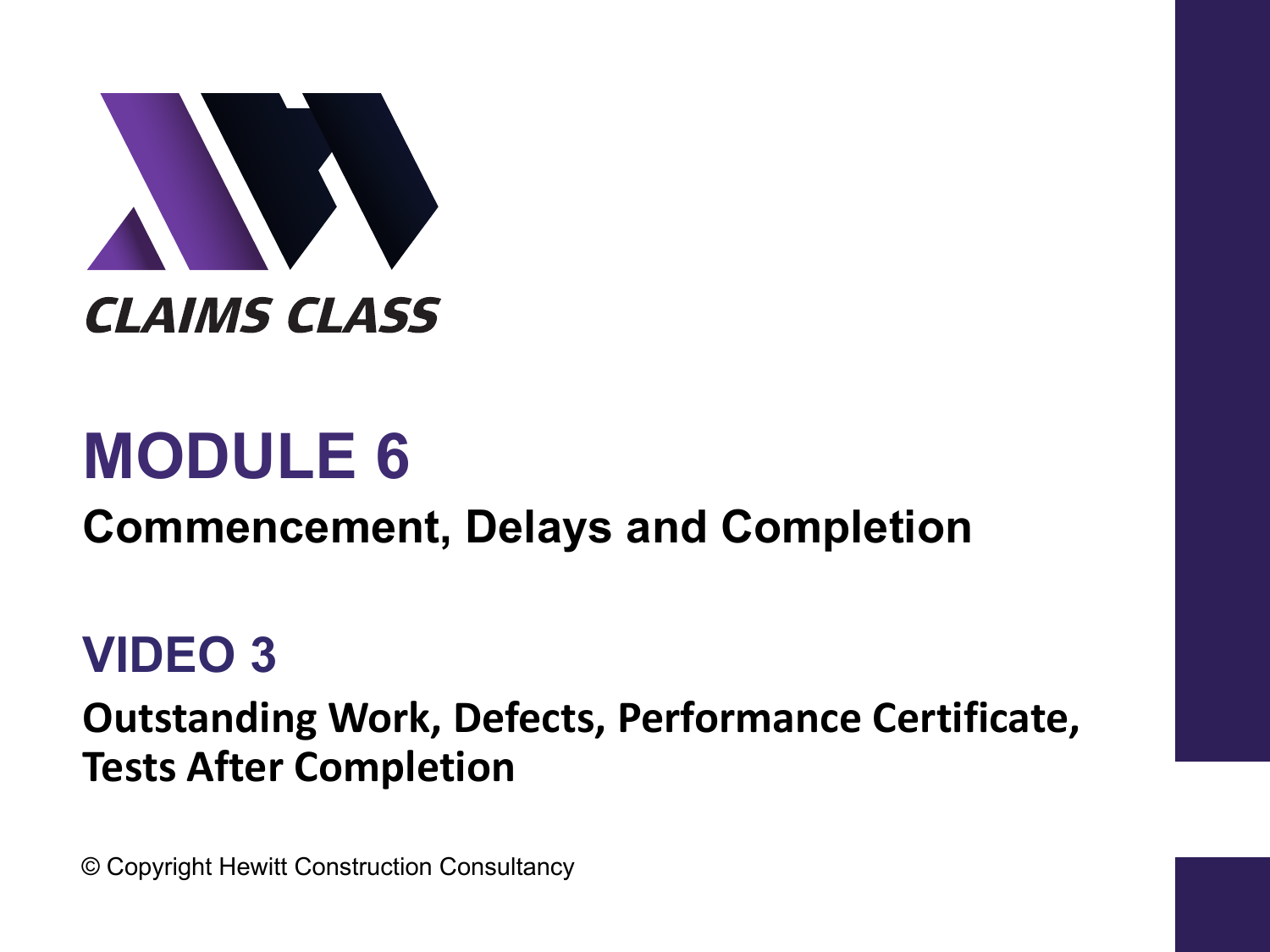

# **MODULE 6**

#### **Commencement, Delays and Completion**

#### **VIDEO 3**

#### **Outstanding Work, Defects, Performance Certificate, Tests After Completion**

© Copyright Hewitt Construction Consultancy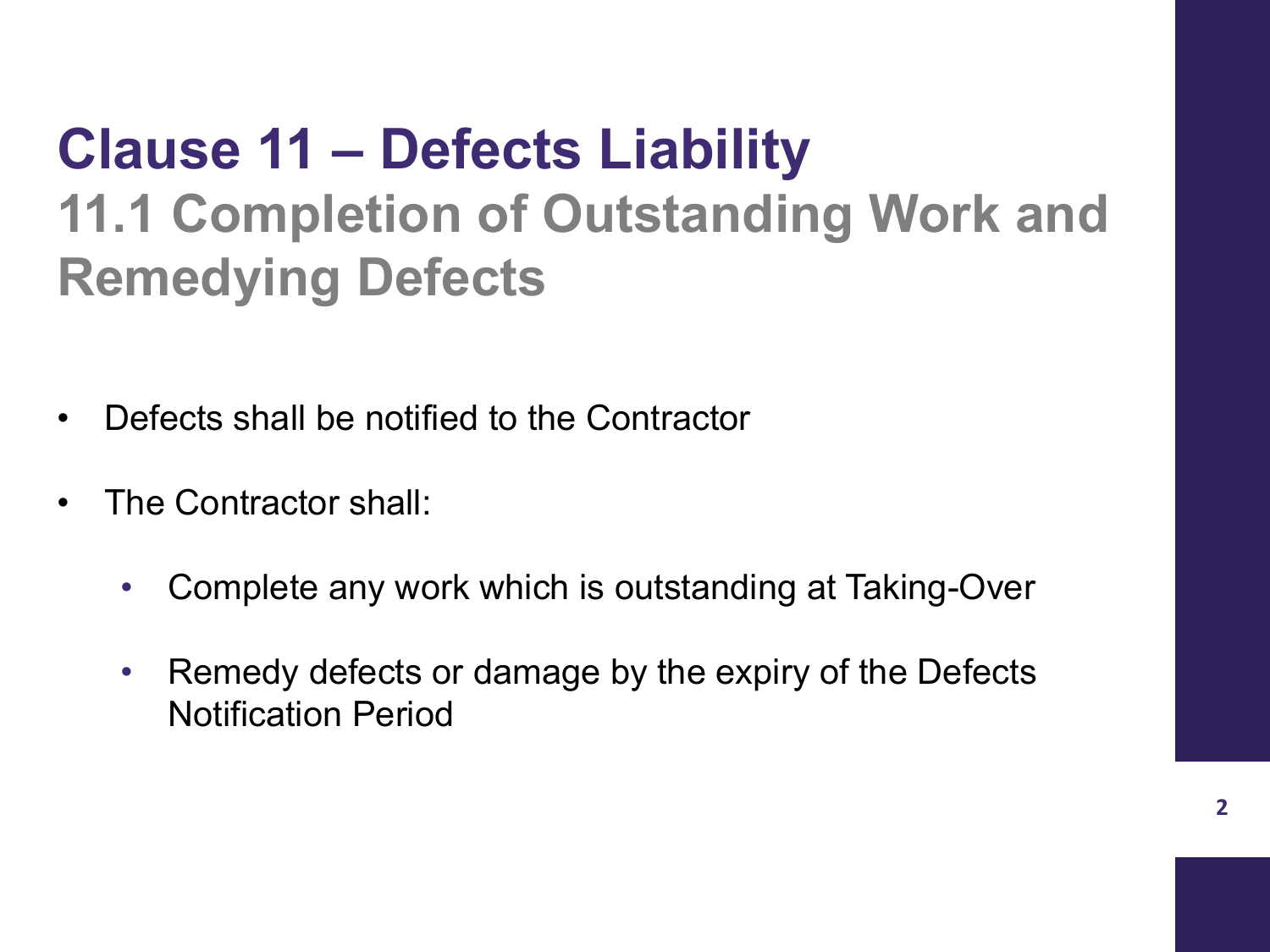### **Clause 11 – Defects Liability 11.1 Completion of Outstanding Work and Remedying Defects**

- Defects shall be notified to the Contractor
- The Contractor shall:
	- Complete any work which is outstanding at Taking-Over
	- Remedy defects or damage by the expiry of the Defects Notification Period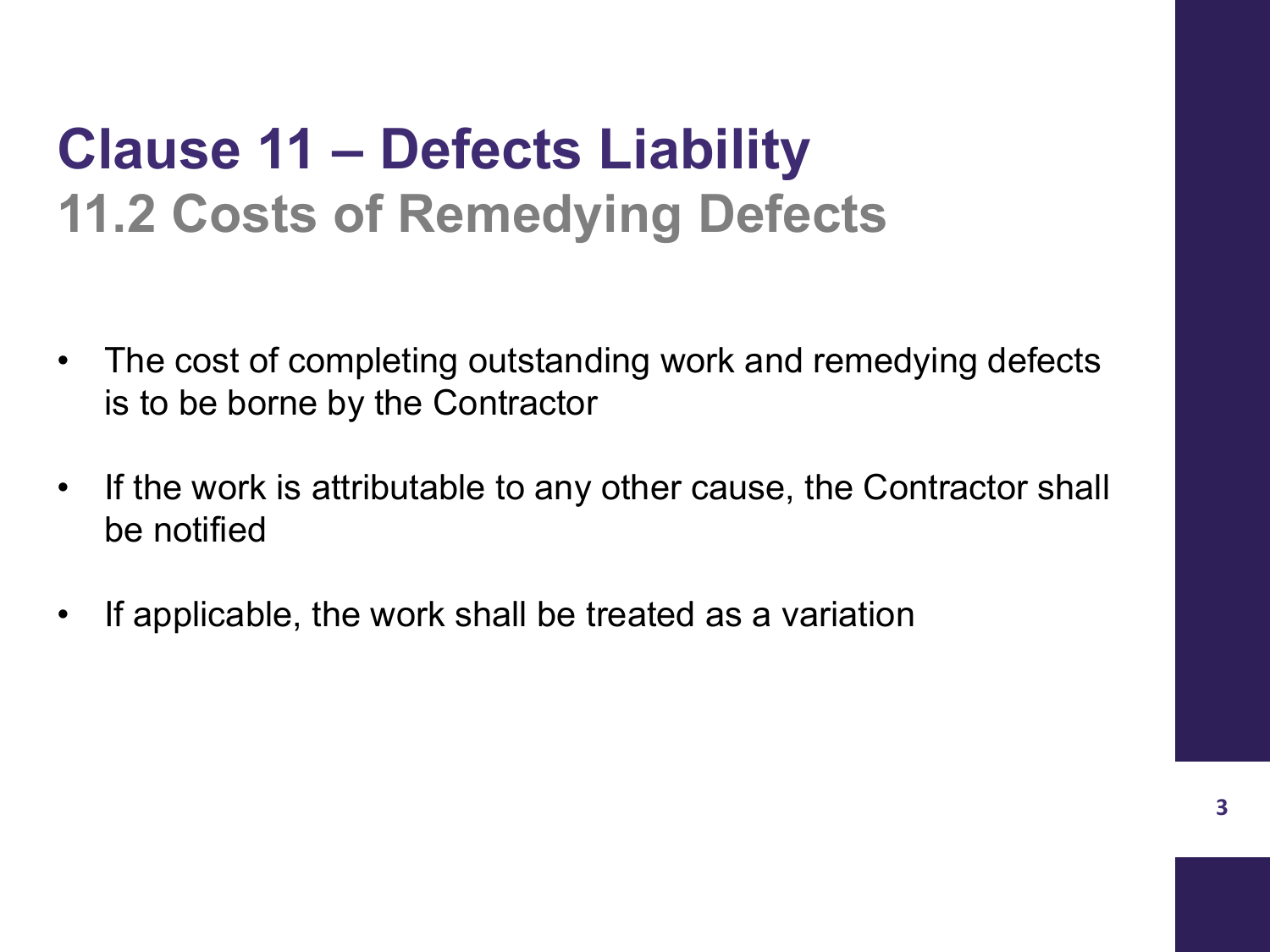### **Clause 11 – Defects Liability 11.2 Costs of Remedying Defects**

- The cost of completing outstanding work and remedying defects is to be borne by the Contractor
- If the work is attributable to any other cause, the Contractor shall be notified
- If applicable, the work shall be treated as a variation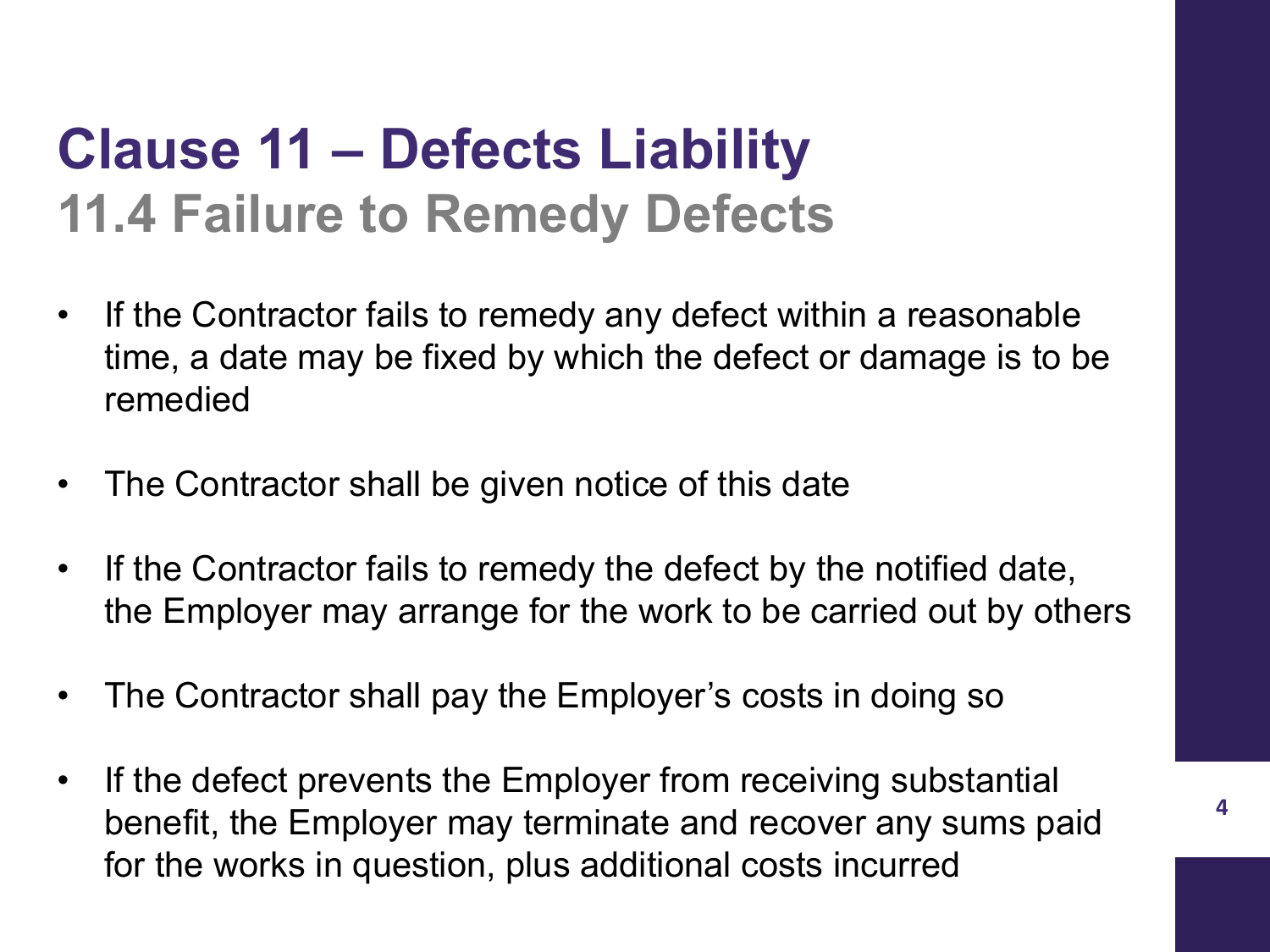### **Clause 11 – Defects Liability 11.4 Failure to Remedy Defects**

- If the Contractor fails to remedy any defect within a reasonable time, a date may be fixed by which the defect or damage is to be remedied
- The Contractor shall be given notice of this date
- If the Contractor fails to remedy the defect by the notified date, the Employer may arrange for the work to be carried out by others
- The Contractor shall pay the Employer's costs in doing so
- If the defect prevents the Employer from receiving substantial benefit, the Employer may terminate and recover any sums paid for the works in question, plus additional costs incurred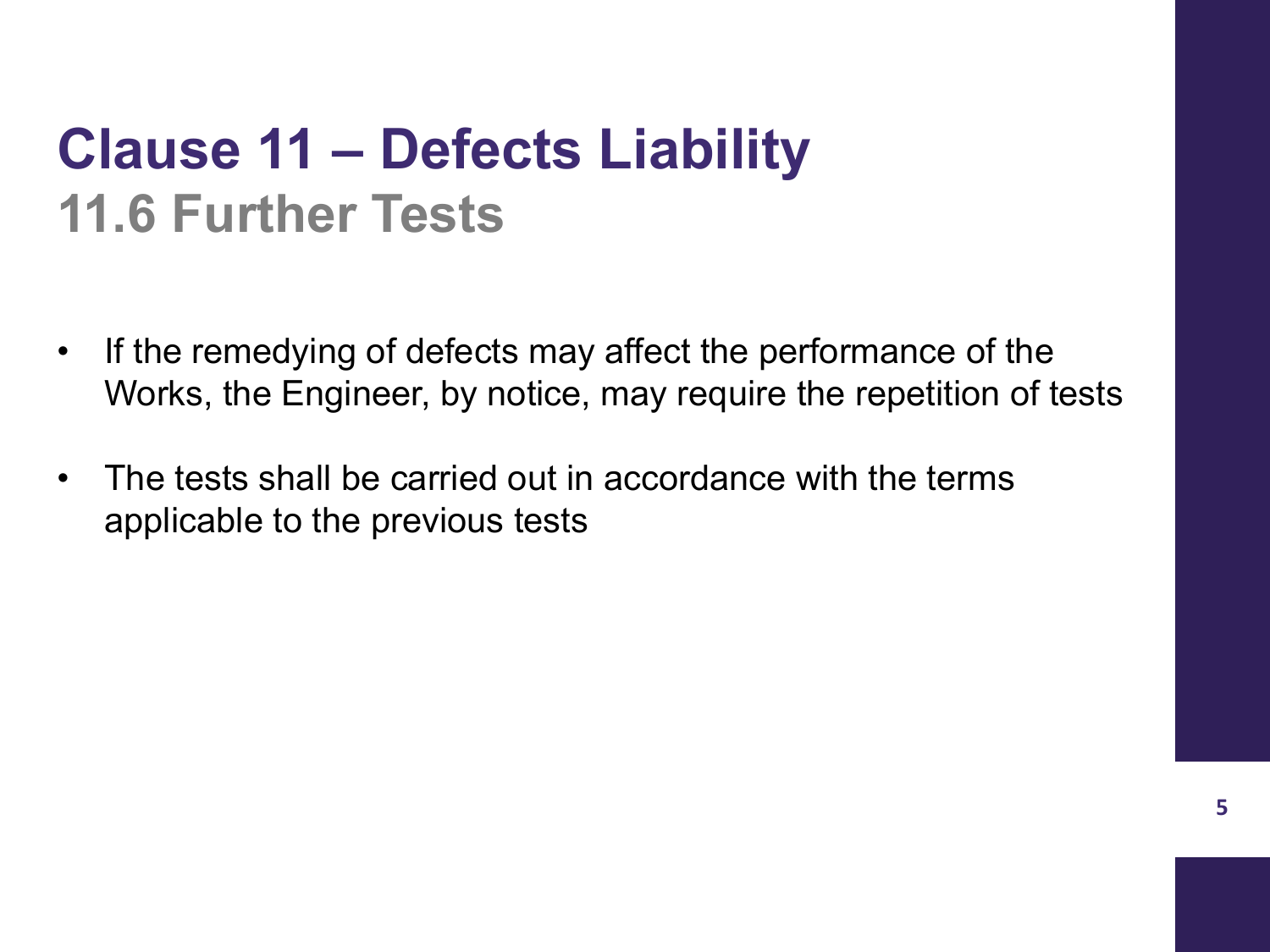### **Clause 11 – Defects Liability 11.6 Further Tests**

- If the remedying of defects may affect the performance of the Works, the Engineer, by notice, may require the repetition of tests
- The tests shall be carried out in accordance with the terms applicable to the previous tests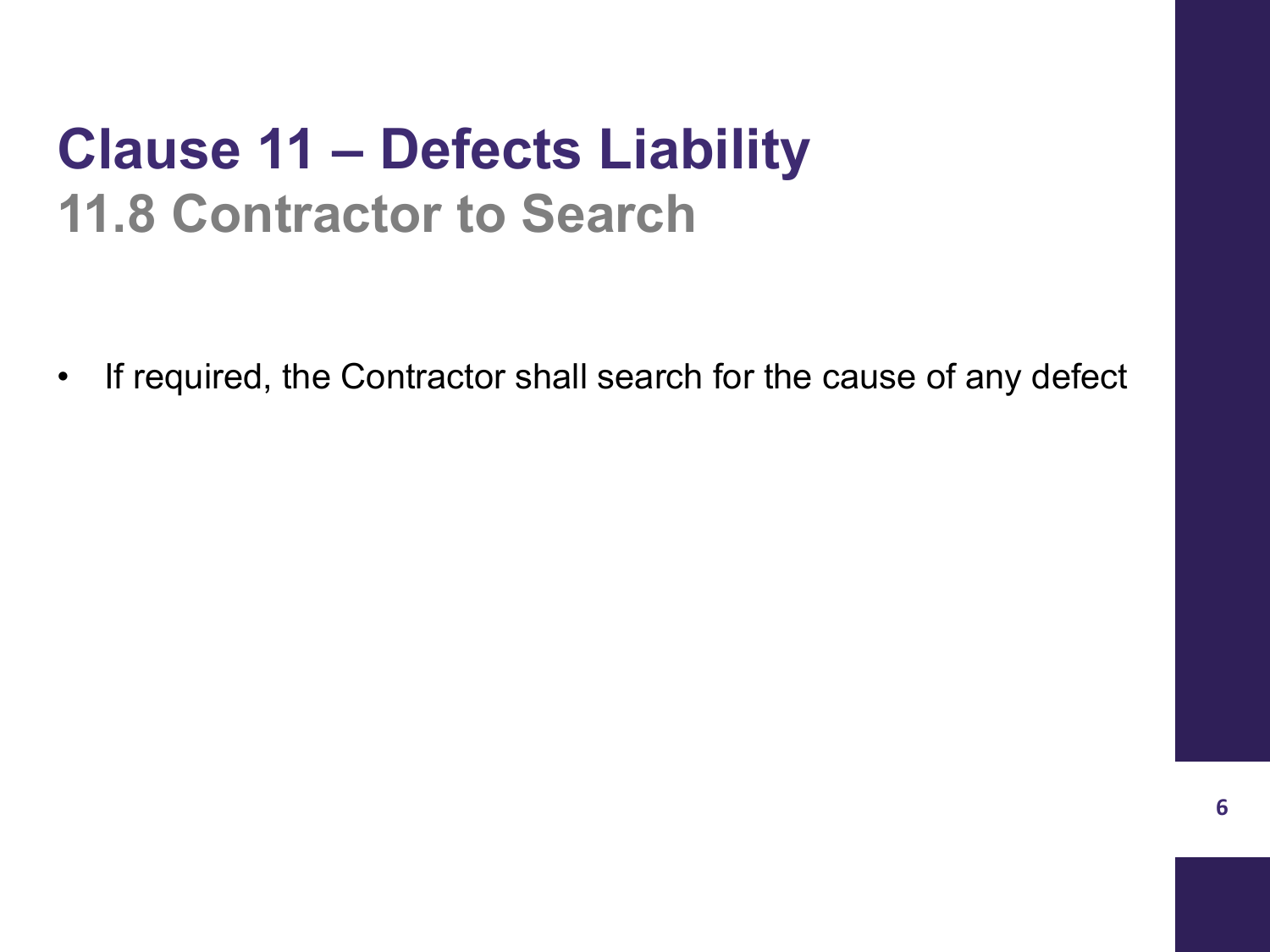### **Clause 11 – Defects Liability 11.8 Contractor to Search**

• If required, the Contractor shall search for the cause of any defect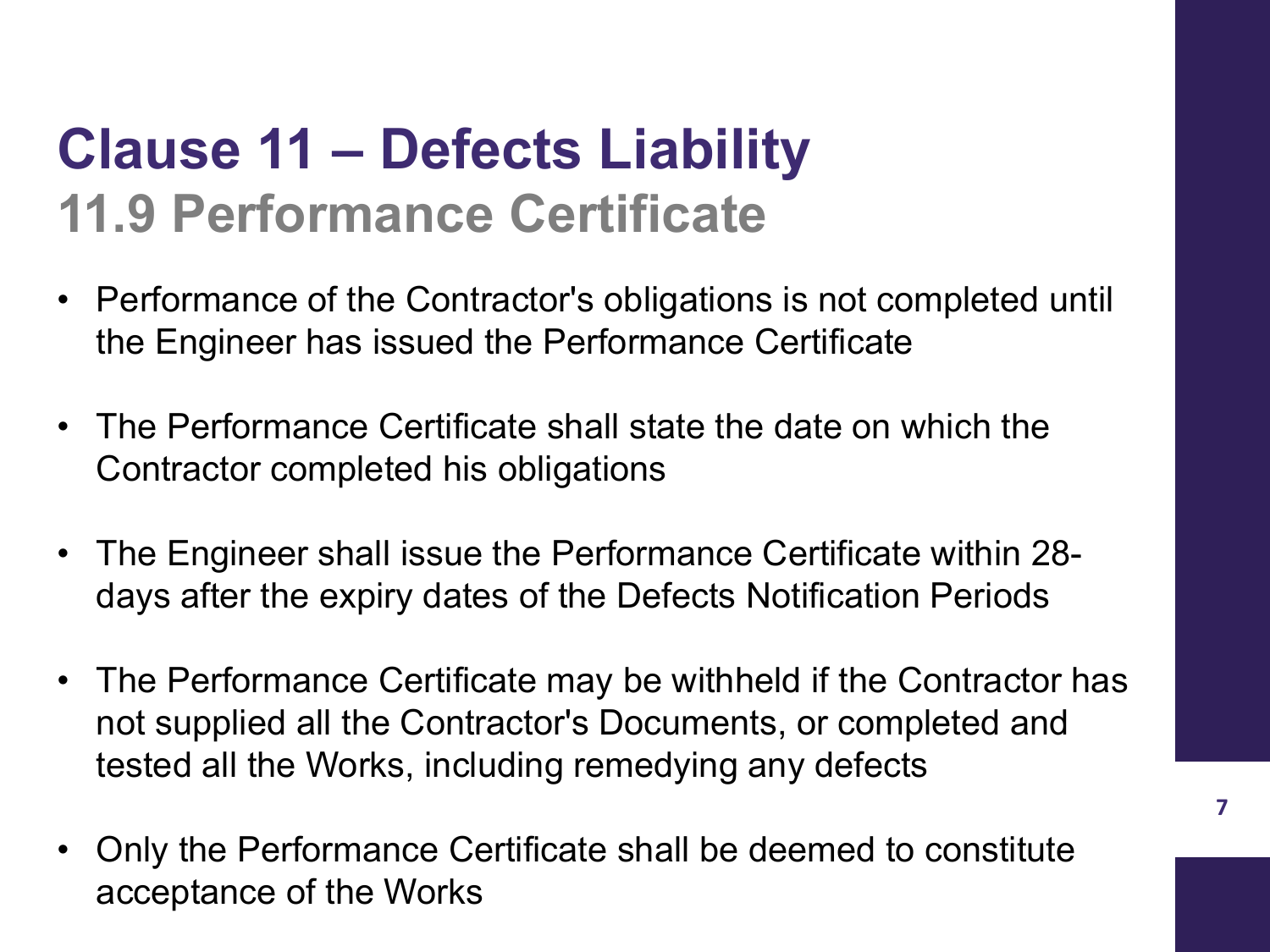### **Clause 11 – Defects Liability 11.9 Performance Certificate**

- Performance of the Contractor's obligations is not completed until the Engineer has issued the Performance Certificate
- The Performance Certificate shall state the date on which the Contractor completed his obligations
- The Engineer shall issue the Performance Certificate within 28 days after the expiry dates of the Defects Notification Periods
- The Performance Certificate may be withheld if the Contractor has not supplied all the Contractor's Documents, or completed and tested all the Works, including remedying any defects
- Only the Performance Certificate shall be deemed to constitute acceptance of the Works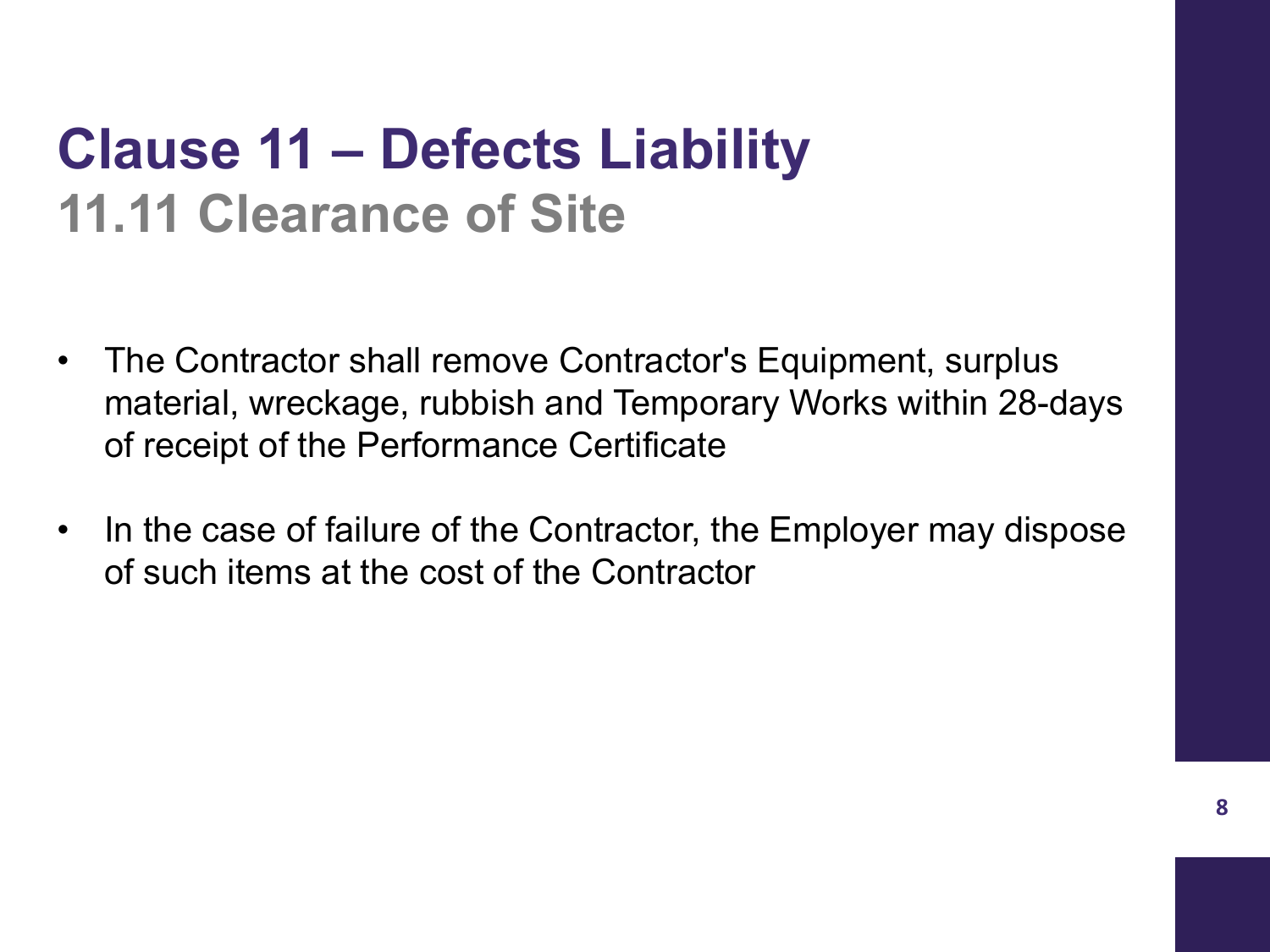### **Clause 11 – Defects Liability 11.11 Clearance of Site**

- The Contractor shall remove Contractor's Equipment, surplus material, wreckage, rubbish and Temporary Works within 28-days of receipt of the Performance Certificate
- In the case of failure of the Contractor, the Employer may dispose of such items at the cost of the Contractor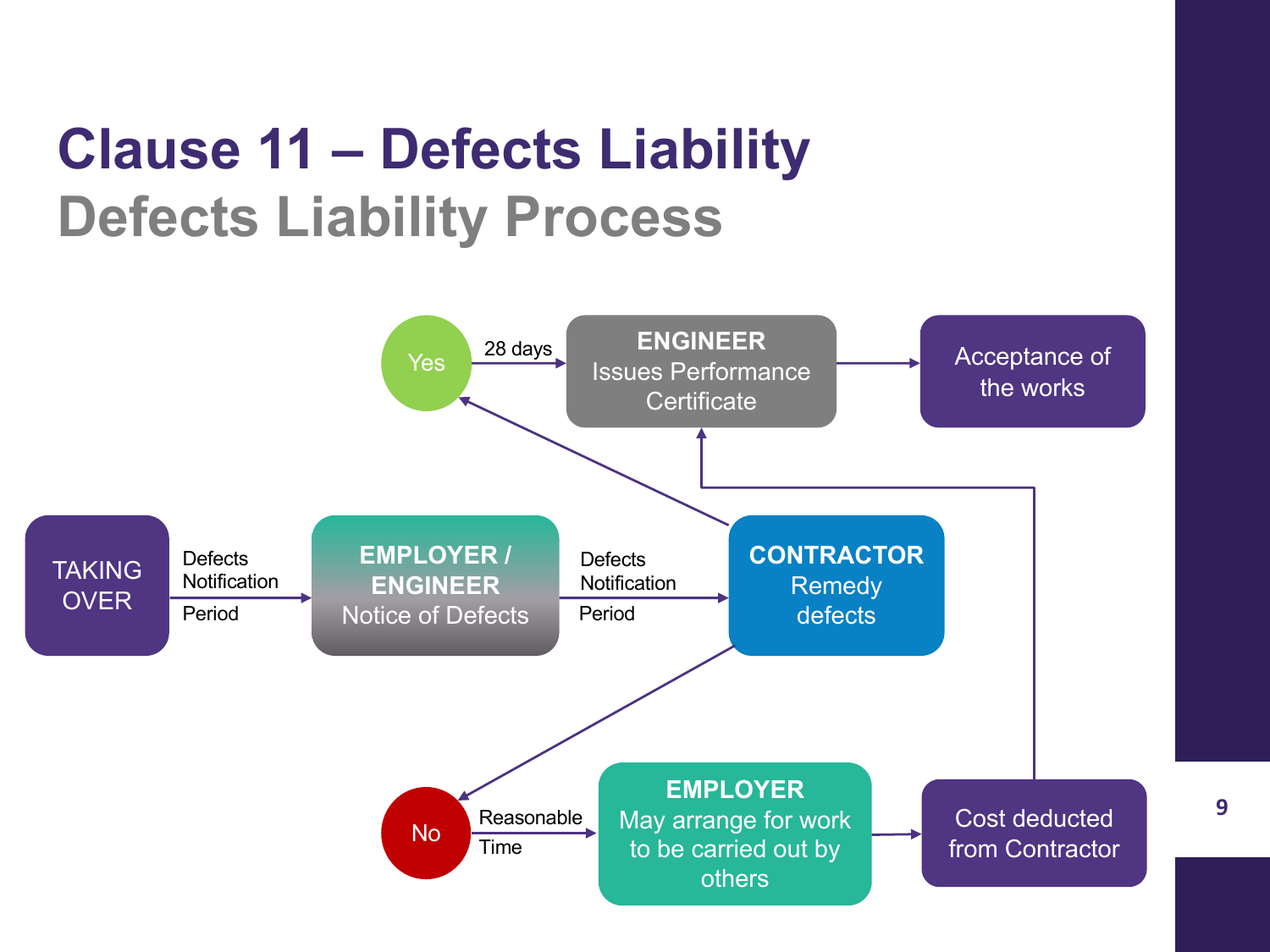## **Clause 11 – Defects Liability Defects Liability Process**

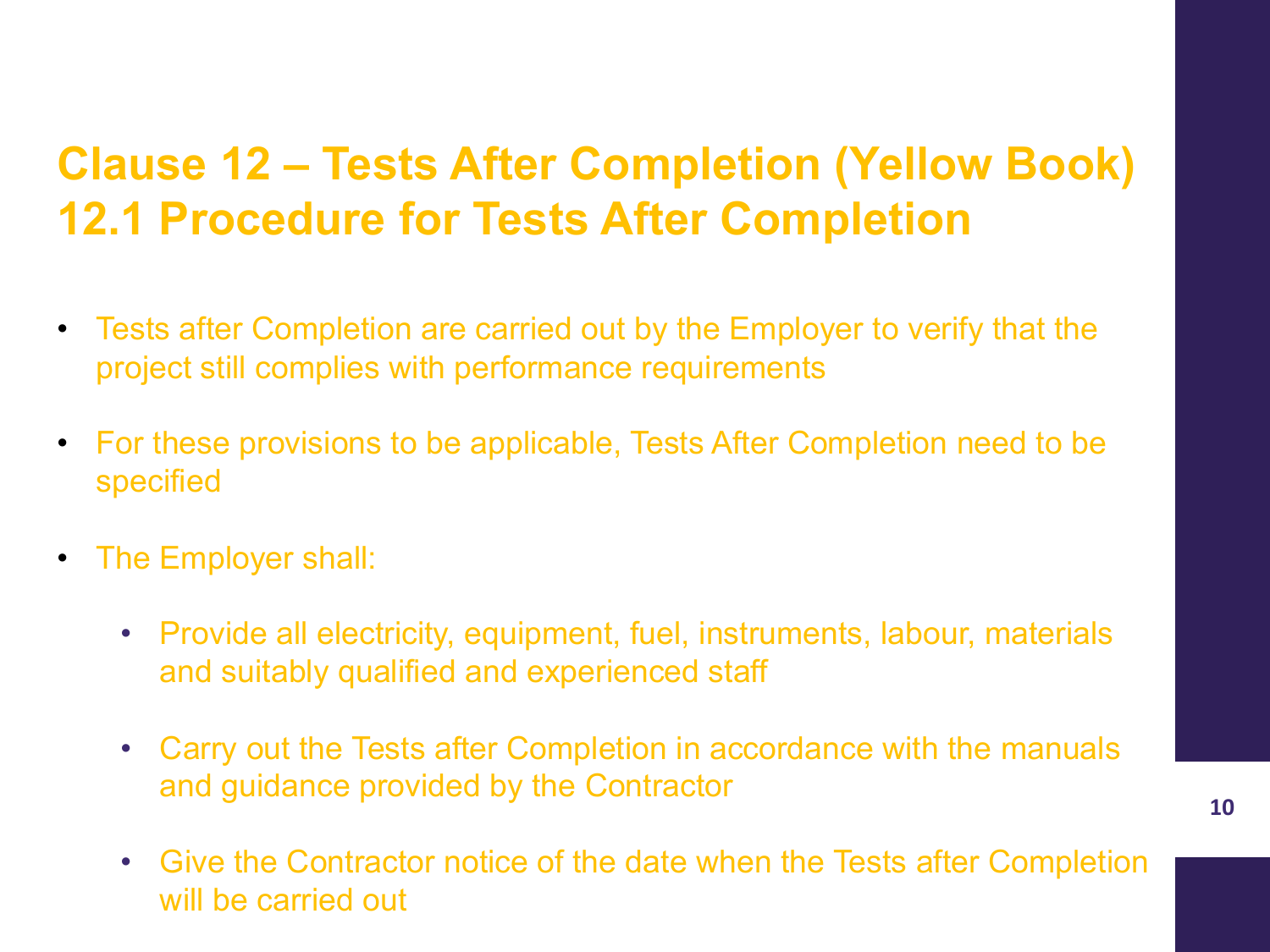#### **Clause 12 – Tests After Completion (Yellow Book) 12.1 Procedure for Tests After Completion**

- Tests after Completion are carried out by the Employer to verify that the project still complies with performance requirements
- For these provisions to be applicable, Tests After Completion need to be specified
- The Employer shall:
	- Provide all electricity, equipment, fuel, instruments, labour, materials and suitably qualified and experienced staff
	- Carry out the Tests after Completion in accordance with the manuals and guidance provided by the Contractor
	- Give the Contractor notice of the date when the Tests after Completion will be carried out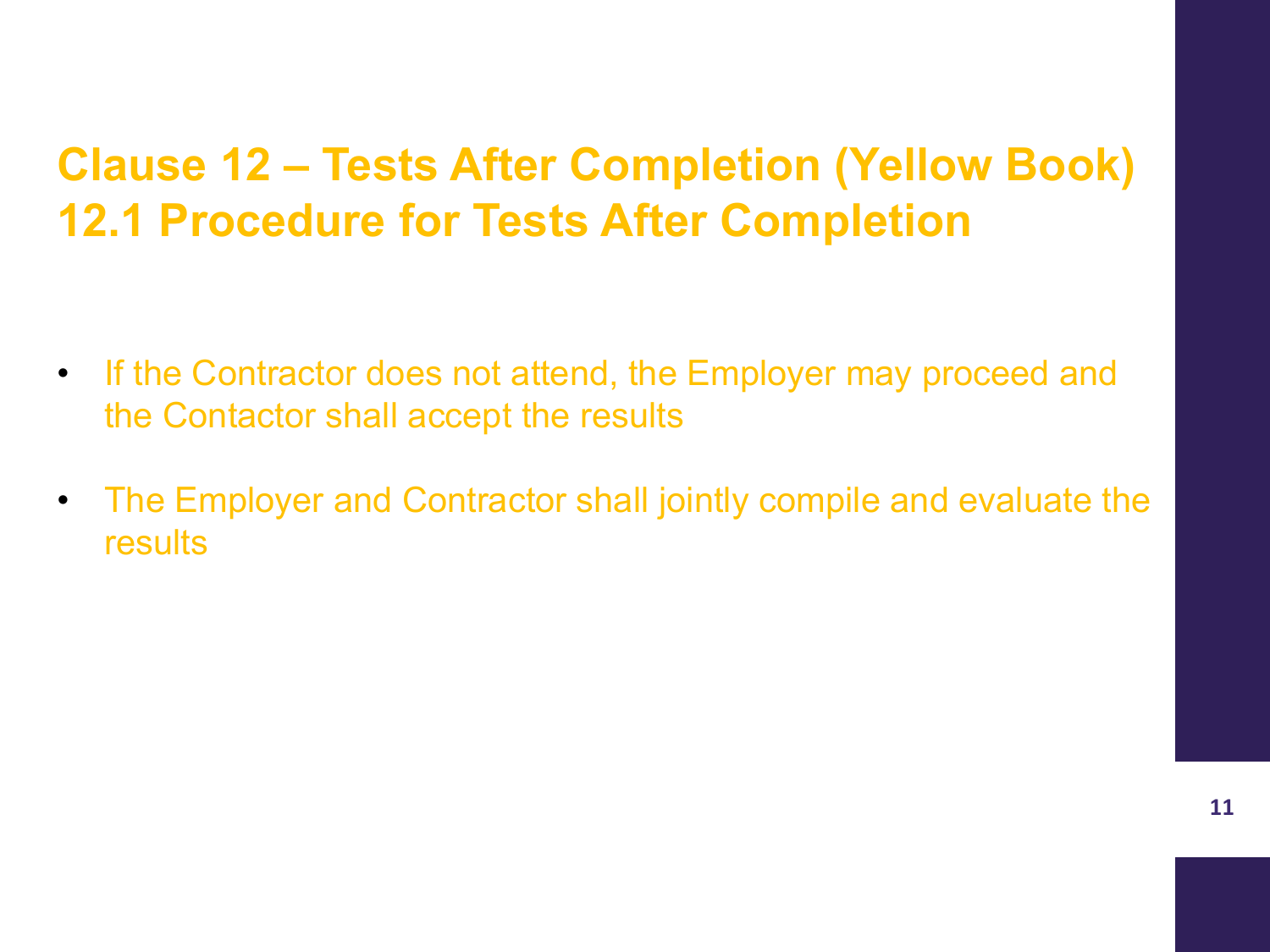#### **Clause 12 – Tests After Completion (Yellow Book) 12.1 Procedure for Tests After Completion**

- If the Contractor does not attend, the Employer may proceed and the Contactor shall accept the results
- The Employer and Contractor shall jointly compile and evaluate the results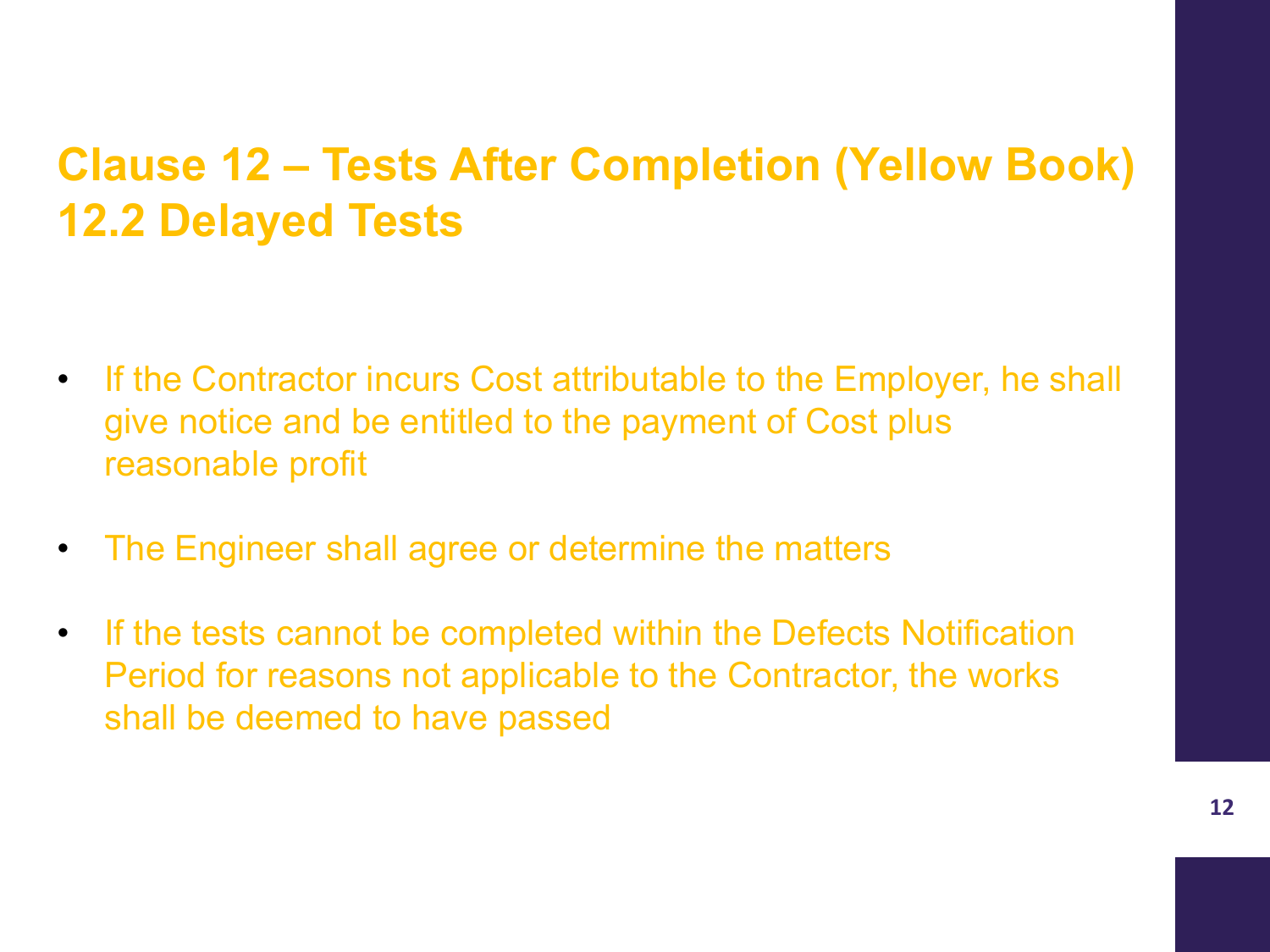#### **Clause 12 – Tests After Completion (Yellow Book) 12.2 Delayed Tests**

- If the Contractor incurs Cost attributable to the Employer, he shall give notice and be entitled to the payment of Cost plus reasonable profit
- The Engineer shall agree or determine the matters
- If the tests cannot be completed within the Defects Notification Period for reasons not applicable to the Contractor, the works shall be deemed to have passed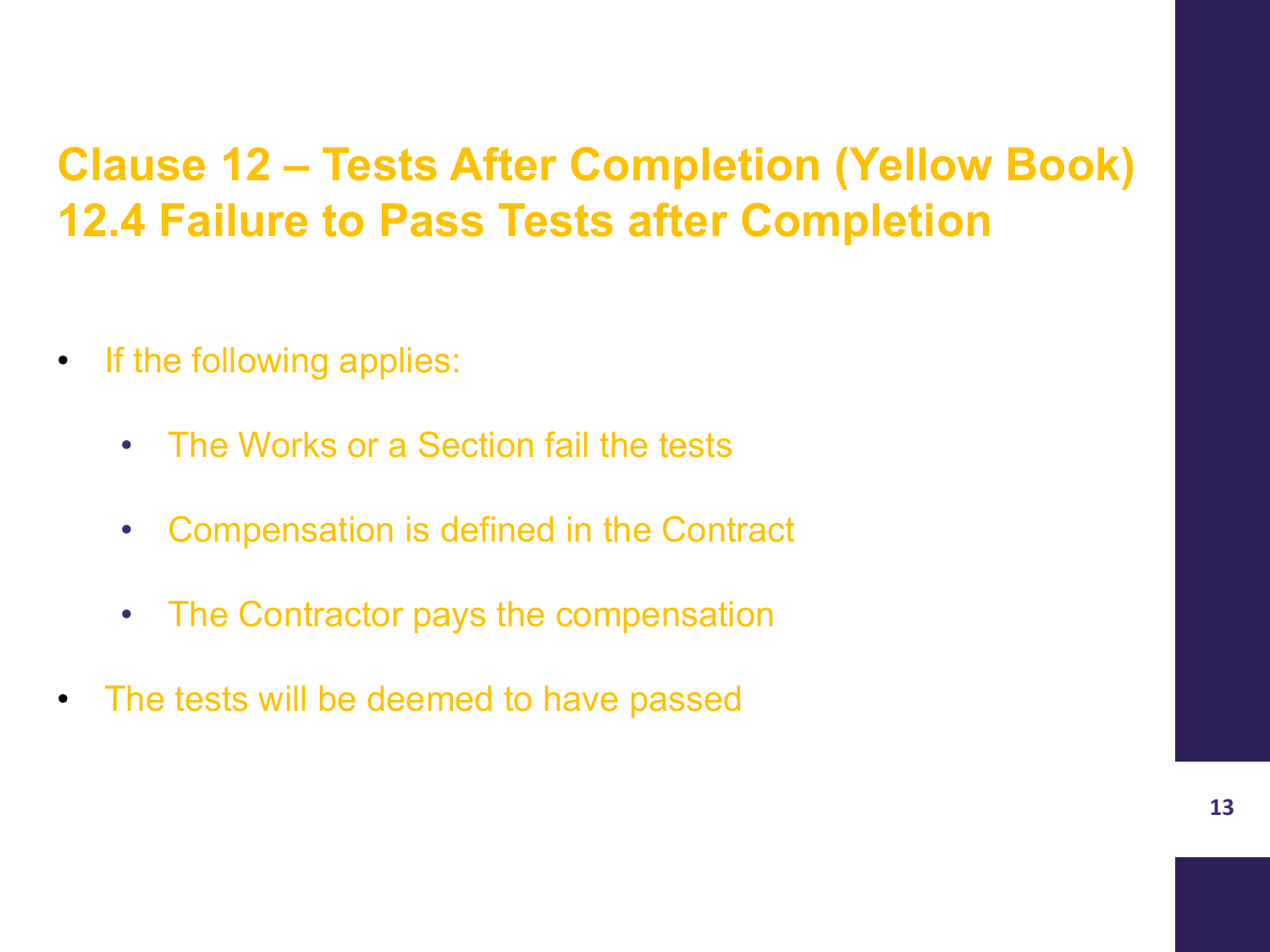#### **Clause 12 – Tests After Completion (Yellow Book) 12.4 Failure to Pass Tests after Completion**

- If the following applies:
	- The Works or a Section fail the tests
	- Compensation is defined in the Contract
	- The Contractor pays the compensation
- The tests will be deemed to have passed